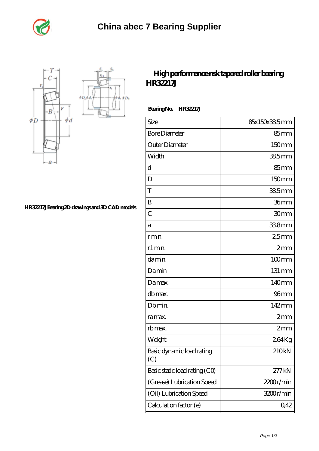



## **[HR32217J Bearing 2D drawings and 3D CAD models](https://digitalphotography.tv/pic-513057.html)**

## **[High performance nsk tapered roller bearing](https://digitalphotography.tv/timken-m88048-bearing/nsk-hr32217j.html) [HR32217J](https://digitalphotography.tv/timken-m88048-bearing/nsk-hr32217j.html)**

 **Bearing No. HR32217J**

| Size                             | 85x150x38.5mm    |
|----------------------------------|------------------|
| <b>Bore Diameter</b>             | 85 <sub>mm</sub> |
| Outer Diameter                   | 150mm            |
| Width                            | 38,5mm           |
| d                                | 85 <sub>mm</sub> |
| D                                | 150mm            |
| T                                | $385$ mm         |
| B                                | 36 <sub>mm</sub> |
| $\overline{C}$                   | 30 <sub>mm</sub> |
| а                                | 33,8mm           |
| r min.                           | 25 <sub>mm</sub> |
| r1 min.                          | 2mm              |
| damin.                           | $100$ mm         |
| Damin                            | 131 mm           |
| Damax.                           | 140mm            |
| db max.                          | 96 <sub>mm</sub> |
| Db min.                          | 142mm            |
| ra max.                          | 2mm              |
| rb max.                          | 2mm              |
| Weight                           | 264Kg            |
| Basic dynamic load rating<br>(C) | 210kN            |
| Basic static load rating (CO)    | 277kN            |
| (Grease) Lubrication Speed       | 2200r/min        |
| (Oil) Lubrication Speed          | 3200r/min        |
| Calculation factor (e)           | 0,42             |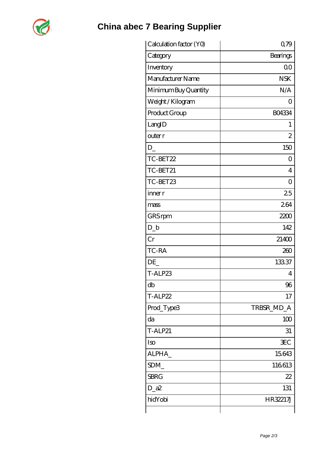

## **China abec 7 Bearing Supplier**

| Calculation factor (YO) | 0,79           |
|-------------------------|----------------|
| Category                | Bearings       |
| Inventory               | 0 <sub>0</sub> |
| Manufacturer Name       | <b>NSK</b>     |
| Minimum Buy Quantity    | N/A            |
| Weight / Kilogram       | Ω              |
| Product Group           | <b>BO4334</b>  |
| LangID                  | 1              |
| outer r                 | $\overline{2}$ |
| $D_{-}$                 | 150            |
| TC-BET22                | 0              |
| TC-BET21                | $\overline{4}$ |
| TC-BET23                | 0              |
| inner r                 | 25             |
| mass                    | 264            |
| GRS rpm                 | 2200           |
| $D_b$                   | 142            |
| Cr                      | 21400          |
| TC-RA                   | 260            |
| DE                      | 13337          |
| T-ALP23                 | 4              |
| db                      | 96             |
| T-ALP22                 | 17             |
| Prod_Type3              | TRBSR_MD_A     |
| da                      | 100            |
| <b>T-ALP21</b>          | 31             |
| Iso                     | <b>EC</b>      |
| ALPHA_                  | 15643          |
| SDM_                    | 116613         |
| <b>SBRG</b>             | 22             |
| $D_2a2$                 | 131            |
| hidYobi                 | HR32217J       |
|                         |                |